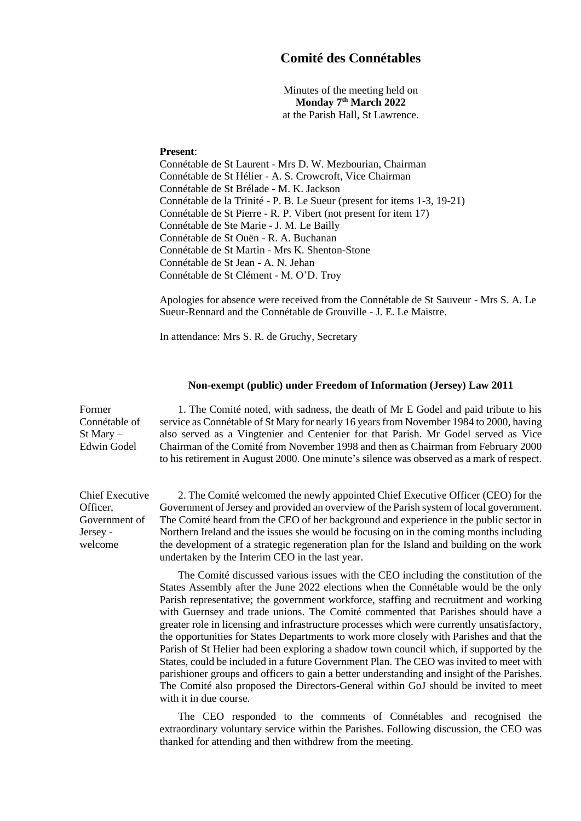## **Comité des Connétables**

Minutes of the meeting held on **Monday 7 th March 2022** at the Parish Hall, St Lawrence.

## **Present**:

Chief Executive

Government of

Officer,

Jersey welcome Connétable de St Laurent - Mrs D. W. Mezbourian, Chairman Connétable de St Hélier - A. S. Crowcroft, Vice Chairman Connétable de St Brélade - M. K. Jackson Connétable de la Trinité - P. B. Le Sueur (present for items 1-3, 19-21) Connétable de St Pierre - R. P. Vibert (not present for item 17) Connétable de Ste Marie - J. M. Le Bailly Connétable de St Ouën - R. A. Buchanan Connétable de St Martin - Mrs K. Shenton-Stone Connétable de St Jean - A. N. Jehan Connétable de St Clément - M. O'D. Troy

Apologies for absence were received from the Connétable de St Sauveur - Mrs S. A. Le Sueur-Rennard and the Connétable de Grouville - J. E. Le Maistre.

In attendance: Mrs S. R. de Gruchy, Secretary

## **Non-exempt (public) under Freedom of Information (Jersey) Law 2011**

Former Connétable of St Mary – Edwin Godel 1. The Comité noted, with sadness, the death of Mr E Godel and paid tribute to his service as Connétable of St Mary for nearly 16 years from November 1984 to 2000, having also served as a Vingtenier and Centenier for that Parish. Mr Godel served as Vice Chairman of the Comité from November 1998 and then as Chairman from February 2000 to his retirement in August 2000. One minute's silence was observed as a mark of respect.

> 2. The Comité welcomed the newly appointed Chief Executive Officer (CEO) for the Government of Jersey and provided an overview of the Parish system of local government. The Comité heard from the CEO of her background and experience in the public sector in Northern Ireland and the issues she would be focusing on in the coming months including the development of a strategic regeneration plan for the Island and building on the work undertaken by the Interim CEO in the last year.

> The Comité discussed various issues with the CEO including the constitution of the States Assembly after the June 2022 elections when the Connétable would be the only Parish representative; the government workforce, staffing and recruitment and working with Guernsey and trade unions. The Comité commented that Parishes should have a greater role in licensing and infrastructure processes which were currently unsatisfactory, the opportunities for States Departments to work more closely with Parishes and that the Parish of St Helier had been exploring a shadow town council which, if supported by the States, could be included in a future Government Plan. The CEO was invited to meet with parishioner groups and officers to gain a better understanding and insight of the Parishes. The Comité also proposed the Directors-General within GoJ should be invited to meet with it in due course.

> The CEO responded to the comments of Connétables and recognised the extraordinary voluntary service within the Parishes. Following discussion, the CEO was thanked for attending and then withdrew from the meeting.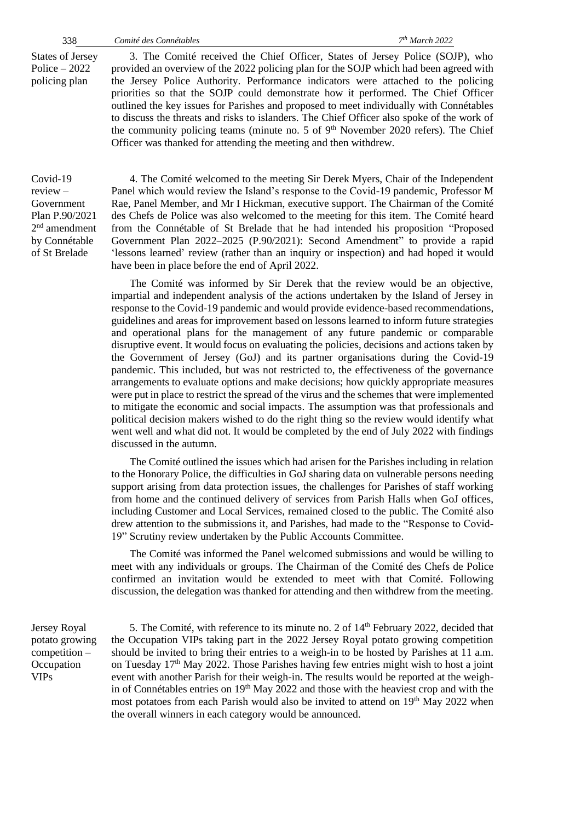States of Jersey Police – 2022 policing plan

3. The Comité received the Chief Officer, States of Jersey Police (SOJP), who provided an overview of the 2022 policing plan for the SOJP which had been agreed with the Jersey Police Authority. Performance indicators were attached to the policing priorities so that the SOJP could demonstrate how it performed. The Chief Officer outlined the key issues for Parishes and proposed to meet individually with Connétables to discuss the threats and risks to islanders. The Chief Officer also spoke of the work of the community policing teams (minute no. 5 of  $9<sup>th</sup>$  November 2020 refers). The Chief Officer was thanked for attending the meeting and then withdrew.

Covid-19 review – Government Plan P.90/2021 2 nd amendment by Connétable of St Brelade

4. The Comité welcomed to the meeting Sir Derek Myers, Chair of the Independent Panel which would review the Island's response to the Covid-19 pandemic, Professor M Rae, Panel Member, and Mr I Hickman, executive support. The Chairman of the Comité des Chefs de Police was also welcomed to the meeting for this item. The Comité heard from the Connétable of St Brelade that he had intended his proposition "Proposed Government Plan 2022–2025 (P.90/2021): Second Amendment" to provide a rapid 'lessons learned' review (rather than an inquiry or inspection) and had hoped it would have been in place before the end of April 2022.

The Comité was informed by Sir Derek that the review would be an objective, impartial and independent analysis of the actions undertaken by the Island of Jersey in response to the Covid-19 pandemic and would provide evidence-based recommendations, guidelines and areas for improvement based on lessons learned to inform future strategies and operational plans for the management of any future pandemic or comparable disruptive event. It would focus on evaluating the policies, decisions and actions taken by the Government of Jersey (GoJ) and its partner organisations during the Covid-19 pandemic. This included, but was not restricted to, the effectiveness of the governance arrangements to evaluate options and make decisions; how quickly appropriate measures were put in place to restrict the spread of the virus and the schemes that were implemented to mitigate the economic and social impacts. The assumption was that professionals and political decision makers wished to do the right thing so the review would identify what went well and what did not. It would be completed by the end of July 2022 with findings discussed in the autumn.

The Comité outlined the issues which had arisen for the Parishes including in relation to the Honorary Police, the difficulties in GoJ sharing data on vulnerable persons needing support arising from data protection issues, the challenges for Parishes of staff working from home and the continued delivery of services from Parish Halls when GoJ offices, including Customer and Local Services, remained closed to the public. The Comité also drew attention to the submissions it, and Parishes, had made to the "Response to Covid-19" Scrutiny review undertaken by the Public Accounts Committee.

The Comité was informed the Panel welcomed submissions and would be willing to meet with any individuals or groups. The Chairman of the Comité des Chefs de Police confirmed an invitation would be extended to meet with that Comité. Following discussion, the delegation was thanked for attending and then withdrew from the meeting.

Jersey Royal potato growing competition – **Occupation** VIPs

5. The Comité, with reference to its minute no. 2 of 14<sup>th</sup> February 2022, decided that the Occupation VIPs taking part in the 2022 Jersey Royal potato growing competition should be invited to bring their entries to a weigh-in to be hosted by Parishes at 11 a.m. on Tuesday  $17<sup>th</sup>$  May 2022. Those Parishes having few entries might wish to host a joint event with another Parish for their weigh-in. The results would be reported at the weighin of Connétables entries on 19<sup>th</sup> May 2022 and those with the heaviest crop and with the most potatoes from each Parish would also be invited to attend on 19<sup>th</sup> May 2022 when the overall winners in each category would be announced.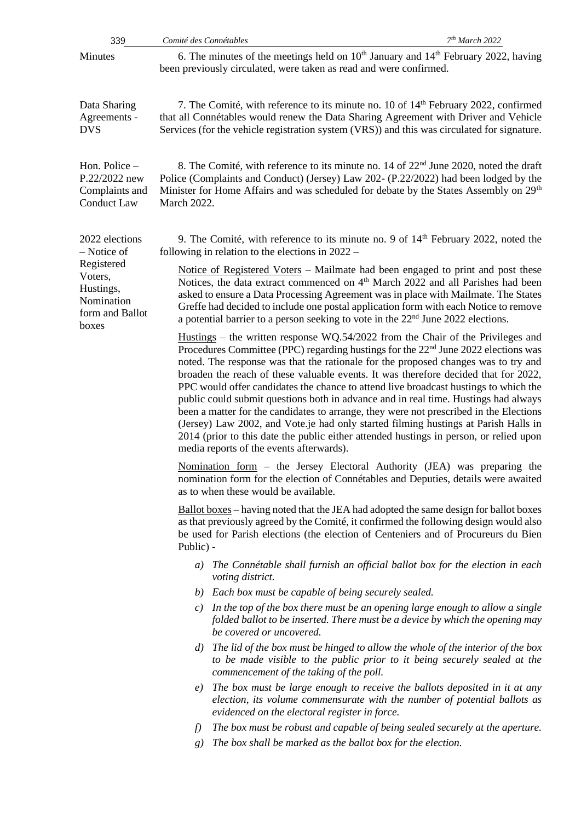| 339                                                                          | Comité des Connétables                                                                                                                                                                                                                                                                                                                                                                                                                                                                                                                                                                                                                                                                                                                                                                                                                                                 | 7 <sup>th</sup> March 2022                                                                                                                                                                                                                                                                     |  |
|------------------------------------------------------------------------------|------------------------------------------------------------------------------------------------------------------------------------------------------------------------------------------------------------------------------------------------------------------------------------------------------------------------------------------------------------------------------------------------------------------------------------------------------------------------------------------------------------------------------------------------------------------------------------------------------------------------------------------------------------------------------------------------------------------------------------------------------------------------------------------------------------------------------------------------------------------------|------------------------------------------------------------------------------------------------------------------------------------------------------------------------------------------------------------------------------------------------------------------------------------------------|--|
| Minutes                                                                      |                                                                                                                                                                                                                                                                                                                                                                                                                                                                                                                                                                                                                                                                                                                                                                                                                                                                        | 6. The minutes of the meetings held on $10th$ January and $14th$ February 2022, having<br>been previously circulated, were taken as read and were confirmed.                                                                                                                                   |  |
| Data Sharing<br>Agreements -<br><b>DVS</b>                                   |                                                                                                                                                                                                                                                                                                                                                                                                                                                                                                                                                                                                                                                                                                                                                                                                                                                                        | 7. The Comité, with reference to its minute no. 10 of 14 <sup>th</sup> February 2022, confirmed<br>that all Connétables would renew the Data Sharing Agreement with Driver and Vehicle<br>Services (for the vehicle registration system (VRS)) and this was circulated for signature.          |  |
| Hon. Police -<br>P.22/2022 new<br>Complaints and<br><b>Conduct Law</b>       | March 2022.                                                                                                                                                                                                                                                                                                                                                                                                                                                                                                                                                                                                                                                                                                                                                                                                                                                            | 8. The Comité, with reference to its minute no. 14 of 22 <sup>nd</sup> June 2020, noted the draft<br>Police (Complaints and Conduct) (Jersey) Law 202- (P.22/2022) had been lodged by the<br>Minister for Home Affairs and was scheduled for debate by the States Assembly on 29 <sup>th</sup> |  |
| 2022 elections<br>- Notice of                                                | 9. The Comité, with reference to its minute no. 9 of $14th$ February 2022, noted the<br>following in relation to the elections in $2022 -$                                                                                                                                                                                                                                                                                                                                                                                                                                                                                                                                                                                                                                                                                                                             |                                                                                                                                                                                                                                                                                                |  |
| Registered<br>Voters,<br>Hustings,<br>Nomination<br>form and Ballot<br>boxes | Notice of Registered Voters - Mailmate had been engaged to print and post these<br>Notices, the data extract commenced on 4 <sup>th</sup> March 2022 and all Parishes had been<br>asked to ensure a Data Processing Agreement was in place with Mailmate. The States<br>Greffe had decided to include one postal application form with each Notice to remove<br>a potential barrier to a person seeking to vote in the $22nd$ June 2022 elections.                                                                                                                                                                                                                                                                                                                                                                                                                     |                                                                                                                                                                                                                                                                                                |  |
|                                                                              | Hustings – the written response $WQ.54/2022$ from the Chair of the Privileges and<br>Procedures Committee (PPC) regarding hustings for the 22 <sup>nd</sup> June 2022 elections was<br>noted. The response was that the rationale for the proposed changes was to try and<br>broaden the reach of these valuable events. It was therefore decided that for 2022,<br>PPC would offer candidates the chance to attend live broadcast hustings to which the<br>public could submit questions both in advance and in real time. Hustings had always<br>been a matter for the candidates to arrange, they were not prescribed in the Elections<br>(Jersey) Law 2002, and Vote.je had only started filming hustings at Parish Halls in<br>2014 (prior to this date the public either attended hustings in person, or relied upon<br>media reports of the events afterwards). |                                                                                                                                                                                                                                                                                                |  |
|                                                                              | Nomination form - the Jersey Electoral Authority (JEA) was preparing the<br>nomination form for the election of Connétables and Deputies, details were awaited<br>as to when these would be available.                                                                                                                                                                                                                                                                                                                                                                                                                                                                                                                                                                                                                                                                 |                                                                                                                                                                                                                                                                                                |  |
|                                                                              | Ballot boxes – having noted that the JEA had adopted the same design for ballot boxes<br>as that previously agreed by the Comité, it confirmed the following design would also<br>be used for Parish elections (the election of Centeniers and of Procureurs du Bien<br>Public) -                                                                                                                                                                                                                                                                                                                                                                                                                                                                                                                                                                                      |                                                                                                                                                                                                                                                                                                |  |
|                                                                              | a)<br>voting district.                                                                                                                                                                                                                                                                                                                                                                                                                                                                                                                                                                                                                                                                                                                                                                                                                                                 | The Connétable shall furnish an official ballot box for the election in each                                                                                                                                                                                                                   |  |
|                                                                              | b) Each box must be capable of being securely sealed.                                                                                                                                                                                                                                                                                                                                                                                                                                                                                                                                                                                                                                                                                                                                                                                                                  |                                                                                                                                                                                                                                                                                                |  |
|                                                                              | c)<br>be covered or uncovered.                                                                                                                                                                                                                                                                                                                                                                                                                                                                                                                                                                                                                                                                                                                                                                                                                                         | In the top of the box there must be an opening large enough to allow a single<br>folded ballot to be inserted. There must be a device by which the opening may                                                                                                                                 |  |
|                                                                              | d) The lid of the box must be hinged to allow the whole of the interior of the box<br>commencement of the taking of the poll.                                                                                                                                                                                                                                                                                                                                                                                                                                                                                                                                                                                                                                                                                                                                          | to be made visible to the public prior to it being securely sealed at the                                                                                                                                                                                                                      |  |
|                                                                              | e)<br>evidenced on the electoral register in force.                                                                                                                                                                                                                                                                                                                                                                                                                                                                                                                                                                                                                                                                                                                                                                                                                    | The box must be large enough to receive the ballots deposited in it at any<br>election, its volume commensurate with the number of potential ballots as                                                                                                                                        |  |
|                                                                              | f)                                                                                                                                                                                                                                                                                                                                                                                                                                                                                                                                                                                                                                                                                                                                                                                                                                                                     | The box must be robust and capable of being sealed securely at the aperture.                                                                                                                                                                                                                   |  |
|                                                                              | The box shall be marked as the ballot box for the election.<br>g)                                                                                                                                                                                                                                                                                                                                                                                                                                                                                                                                                                                                                                                                                                                                                                                                      |                                                                                                                                                                                                                                                                                                |  |
|                                                                              |                                                                                                                                                                                                                                                                                                                                                                                                                                                                                                                                                                                                                                                                                                                                                                                                                                                                        |                                                                                                                                                                                                                                                                                                |  |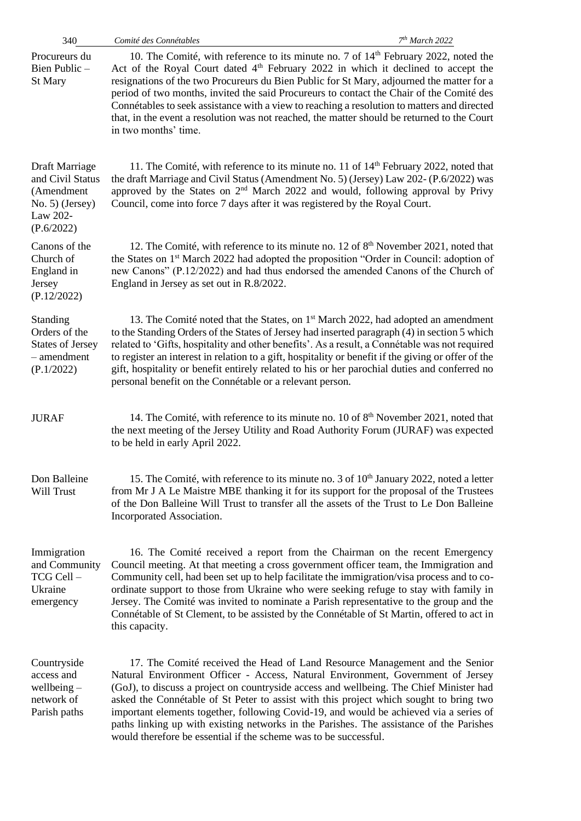| 340                                                                                           | 7th March 2022<br>Comité des Connétables                                                                                                                                                                                                                                                                                                                                                                                                                                                                                                                                                                     |
|-----------------------------------------------------------------------------------------------|--------------------------------------------------------------------------------------------------------------------------------------------------------------------------------------------------------------------------------------------------------------------------------------------------------------------------------------------------------------------------------------------------------------------------------------------------------------------------------------------------------------------------------------------------------------------------------------------------------------|
| Procureurs du<br>Bien Public-<br>St Mary                                                      | 10. The Comité, with reference to its minute no. 7 of $14th$ February 2022, noted the<br>Act of the Royal Court dated 4 <sup>th</sup> February 2022 in which it declined to accept the<br>resignations of the two Procureurs du Bien Public for St Mary, adjourned the matter for a<br>period of two months, invited the said Procureurs to contact the Chair of the Comité des<br>Connétables to seek assistance with a view to reaching a resolution to matters and directed<br>that, in the event a resolution was not reached, the matter should be returned to the Court<br>in two months' time.        |
| Draft Marriage<br>and Civil Status<br>(Amendment<br>No. 5) (Jersey)<br>Law 202-<br>(P.6/2022) | 11. The Comité, with reference to its minute no. 11 of $14th$ February 2022, noted that<br>the draft Marriage and Civil Status (Amendment No. 5) (Jersey) Law 202- (P.6/2022) was<br>approved by the States on 2 <sup>nd</sup> March 2022 and would, following approval by Privy<br>Council, come into force 7 days after it was registered by the Royal Court.                                                                                                                                                                                                                                              |
| Canons of the<br>Church of<br>England in<br>Jersey<br>(P.12/2022)                             | 12. The Comité, with reference to its minute no. 12 of 8 <sup>th</sup> November 2021, noted that<br>the States on 1 <sup>st</sup> March 2022 had adopted the proposition "Order in Council: adoption of<br>new Canons" (P.12/2022) and had thus endorsed the amended Canons of the Church of<br>England in Jersey as set out in R.8/2022.                                                                                                                                                                                                                                                                    |
| Standing<br>Orders of the<br><b>States of Jersey</b><br>$-$ amendment<br>(P.1/2022)           | 13. The Comité noted that the States, on 1 <sup>st</sup> March 2022, had adopted an amendment<br>to the Standing Orders of the States of Jersey had inserted paragraph (4) in section 5 which<br>related to 'Gifts, hospitality and other benefits'. As a result, a Connétable was not required<br>to register an interest in relation to a gift, hospitality or benefit if the giving or offer of the<br>gift, hospitality or benefit entirely related to his or her parochial duties and conferred no<br>personal benefit on the Connétable or a relevant person.                                          |
| <b>JURAF</b>                                                                                  | 14. The Comité, with reference to its minute no. 10 of 8 <sup>th</sup> November 2021, noted that<br>the next meeting of the Jersey Utility and Road Authority Forum (JURAF) was expected<br>to be held in early April 2022.                                                                                                                                                                                                                                                                                                                                                                                  |
| Don Balleine<br>Will Trust                                                                    | 15. The Comité, with reference to its minute no. 3 of 10 <sup>th</sup> January 2022, noted a letter<br>from Mr J A Le Maistre MBE thanking it for its support for the proposal of the Trustees<br>of the Don Balleine Will Trust to transfer all the assets of the Trust to Le Don Balleine<br>Incorporated Association.                                                                                                                                                                                                                                                                                     |
| Immigration<br>and Community<br>TCG Cell-<br>Ukraine<br>emergency                             | 16. The Comité received a report from the Chairman on the recent Emergency<br>Council meeting. At that meeting a cross government officer team, the Immigration and<br>Community cell, had been set up to help facilitate the immigration/visa process and to co-<br>ordinate support to those from Ukraine who were seeking refuge to stay with family in<br>Jersey. The Comité was invited to nominate a Parish representative to the group and the<br>Connétable of St Clement, to be assisted by the Connétable of St Martin, offered to act in<br>this capacity.                                        |
| Countryside<br>access and<br>wellbeing $-$<br>network of<br>Parish paths                      | 17. The Comité received the Head of Land Resource Management and the Senior<br>Natural Environment Officer - Access, Natural Environment, Government of Jersey<br>(GoJ), to discuss a project on countryside access and wellbeing. The Chief Minister had<br>asked the Connétable of St Peter to assist with this project which sought to bring two<br>important elements together, following Covid-19, and would be achieved via a series of<br>paths linking up with existing networks in the Parishes. The assistance of the Parishes<br>would therefore be essential if the scheme was to be successful. |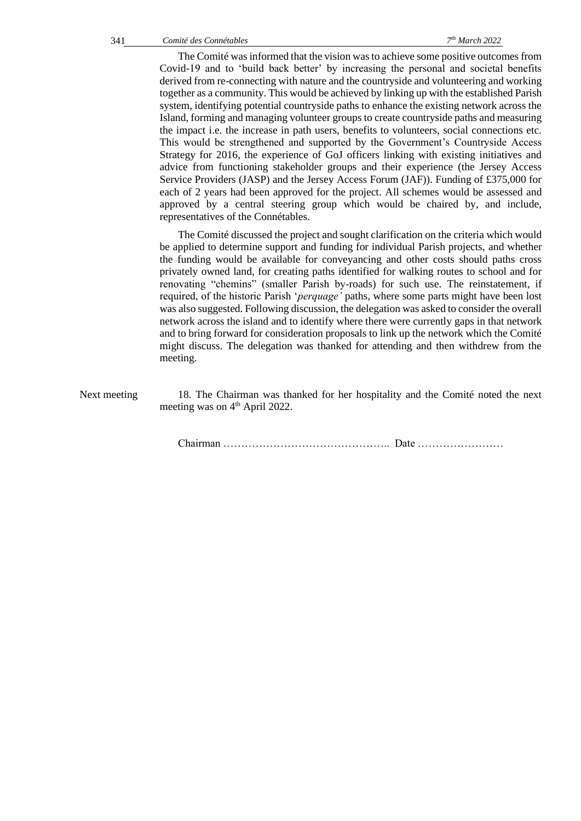The Comité was informed that the vision was to achieve some positive outcomes from Covid-19 and to 'build back better' by increasing the personal and societal benefits derived from re-connecting with nature and the countryside and volunteering and working together as a community. This would be achieved by linking up with the established Parish system, identifying potential countryside paths to enhance the existing network across the Island, forming and managing volunteer groups to create countryside paths and measuring the impact i.e. the increase in path users, benefits to volunteers, social connections etc. This would be strengthened and supported by the Government's Countryside Access Strategy for 2016, the experience of GoJ officers linking with existing initiatives and advice from functioning stakeholder groups and their experience (the Jersey Access Service Providers (JASP) and the Jersey Access Forum (JAF)). Funding of £375,000 for each of 2 years had been approved for the project. All schemes would be assessed and approved by a central steering group which would be chaired by, and include, representatives of the Connétables.

The Comité discussed the project and sought clarification on the criteria which would be applied to determine support and funding for individual Parish projects, and whether the funding would be available for conveyancing and other costs should paths cross privately owned land, for creating paths identified for walking routes to school and for renovating "chemins" (smaller Parish by-roads) for such use. The reinstatement, if required, of the historic Parish '*perquage'* paths, where some parts might have been lost was also suggested. Following discussion, the delegation was asked to consider the overall network across the island and to identify where there were currently gaps in that network and to bring forward for consideration proposals to link up the network which the Comité might discuss. The delegation was thanked for attending and then withdrew from the meeting.

Next meeting 18. The Chairman was thanked for her hospitality and the Comité noted the next meeting was on 4<sup>th</sup> April 2022.

Chairman ……………………………………….. Date ……………………